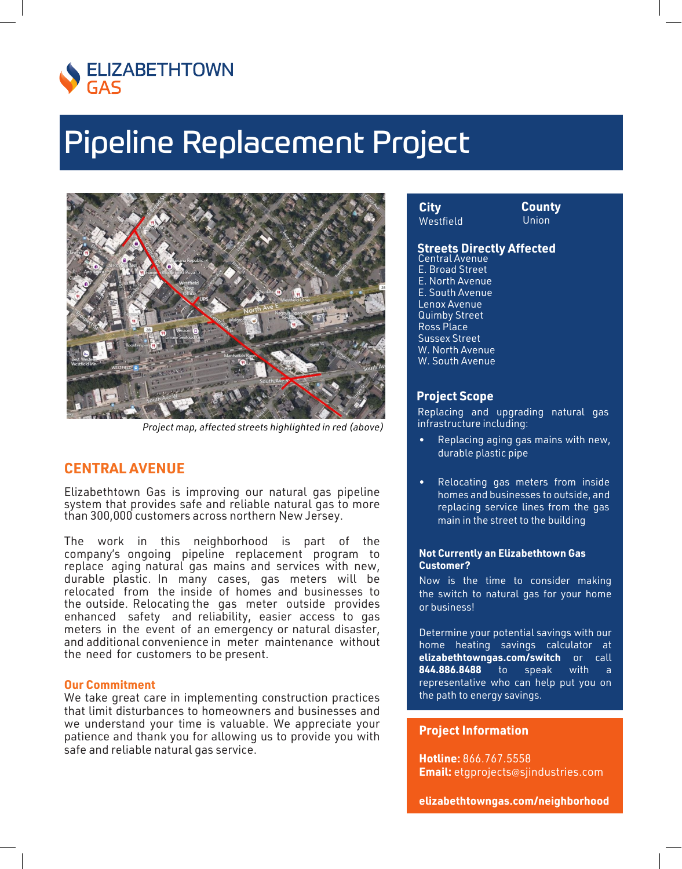

# **Pipeline Replacement Project**



Project map, affected streets highlighted in red (above)

### **CENTRAL AVENUE**

Elizabethtown Gas is improving our natural gas pipeline system that provides safe and reliable natural gas to more than 300,000 customers across northern New Jersey.

The work in this neighborhood is part of the company's ongoing pipeline replacement program to replace aging natural gas mains and services with new, durable plastic. In many cases, gas meters will be relocated from the inside of homes and businesses to the outside. Relocating the gas meter outside provides enhanced safety and reliability, easier access to gas meters in the event of an emergency or natural disaster, and additional convenience in meter maintenance without the need for customers to be present.

#### **Our Commitment**

We take great care in implementing construction practices that limit disturbances to homeowners and businesses and we understand your time is valuable. We appreciate your patience and thank you for allowing us to provide you with safe and reliable natural gas service.

City Westfield **County Union** 

## **Streets Directly Affected**

E. Broad Street E. North Avenue E. South Avenue Lenox Avenue **Quimby Street Ross Place Sussex Street** W. North Avenue W. South Avenue

## **Project Scope**

Replacing and upgrading natural gas infrastructure including:

- Replacing aging gas mains with new, durable plastic pipe
- Relocating gas meters from inside homes and businesses to outside, and replacing service lines from the gas main in the street to the building

#### **Not Currently an Elizabethtown Gas Customer?**

Now is the time to consider making the switch to natural gas for your home or business!

Determine your potential savings with our home heating savings calculator at elizabethtowngas.com/switch or call 844.886.8488  $to$ with speak  $\overline{a}$ representative who can help put you on the path to energy savings.

### **Project Information**

Hotline: 866.767.5558 **Email:** etgprojects@sjindustries.com

elizabethtowngas.com/neighborhood